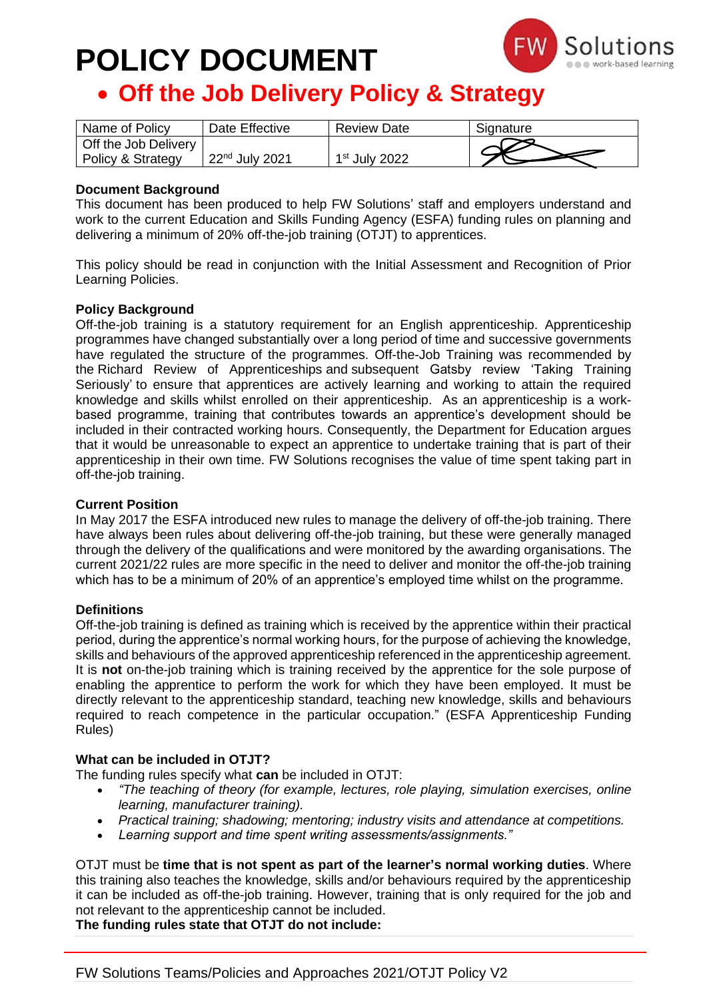# **POLICY DOCUMENT**



### • **Off the Job Delivery Policy & Strategy**

| Name of Policy       | Date Effective   | <b>Review Date</b> | Signature |
|----------------------|------------------|--------------------|-----------|
| Off the Job Delivery |                  |                    |           |
| Policy & Strategy    | $22nd$ July 2021 | $1st$ July 2022    |           |

#### **Document Background**

This document has been produced to help FW Solutions' staff and employers understand and work to the current Education and Skills Funding Agency (ESFA) funding rules on planning and delivering a minimum of 20% off-the-job training (OTJT) to apprentices.

This policy should be read in conjunction with the Initial Assessment and Recognition of Prior Learning Policies.

#### **Policy Background**

Off-the-job training is a statutory requirement for an English apprenticeship. Apprenticeship programmes have changed substantially over a long period of time and successive governments have regulated the structure of the programmes. Off-the-Job Training was recommended by the [Richard Review of Apprenticeships](https://www.gov.uk/government/publications/the-richard-review-of-apprenticeships) and [subsequent](https://www.gov.uk/government/organisations/ofsted) Gatsby review 'Taking Training Seriously' to ensure that apprentices are actively learning and working to attain the required knowledge and skills whilst enrolled on their apprenticeship. As an apprenticeship is a workbased programme, training that contributes towards an apprentice's development should be included in their contracted working hours. Consequently, the Department for Education argues that it would be unreasonable to expect an apprentice to undertake training that is part of their apprenticeship in their own time. FW Solutions recognises the value of time spent taking part in off-the-job training.

#### **Current Position**

In May 2017 the ESFA introduced new rules to manage the delivery of off-the-job training. There have always been rules about delivering off-the-job training, but these were generally managed through the delivery of the qualifications and were monitored by the awarding organisations. The current 2021/22 rules are more specific in the need to deliver and monitor the off-the-job training which has to be a minimum of 20% of an apprentice's employed time whilst on the programme.

#### **Definitions**

Off-the-job training is defined as training which is received by the apprentice within their practical period, during the apprentice's normal working hours, for the purpose of achieving the knowledge, skills and behaviours of the approved apprenticeship referenced in the apprenticeship agreement. It is **not** on-the-job training which is training received by the apprentice for the sole purpose of enabling the apprentice to perform the work for which they have been employed. It must be directly relevant to the apprenticeship standard, teaching new knowledge, skills and behaviours required to reach competence in the particular occupation." (ESFA Apprenticeship Funding Rules)

#### **What can be included in OTJT?**

The funding rules specify what **can** be included in OTJT:

- *"The teaching of theory (for example, lectures, role playing, simulation exercises, online learning, manufacturer training).*
- *Practical training; shadowing; mentoring; industry visits and attendance at competitions.*
- *Learning support and time spent writing assessments/assignments."*

OTJT must be **time that is not spent as part of the learner's normal working duties**. Where this training also teaches the knowledge, skills and/or behaviours required by the apprenticeship it can be included as off-the-job training. However, training that is only required for the job and not relevant to the apprenticeship cannot be included.

**The funding rules state that OTJT do not include:**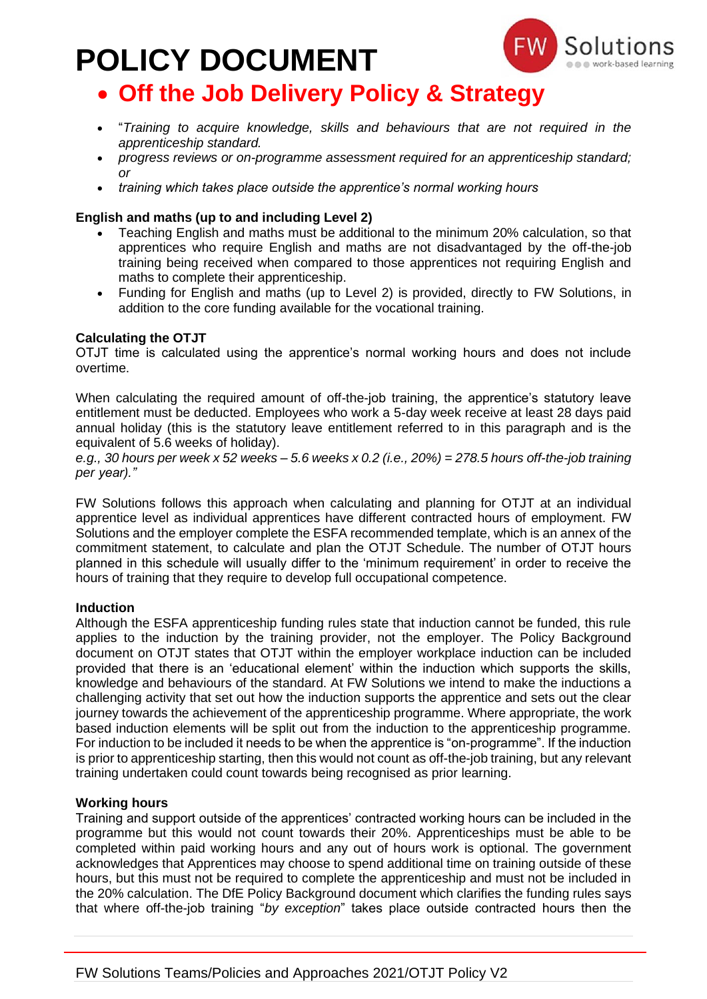# **POLICY DOCUMENT**



### • **Off the Job Delivery Policy & Strategy**

- "*Training to acquire knowledge, skills and behaviours that are not required in the apprenticeship standard.*
- *progress reviews or on-programme assessment required for an apprenticeship standard; or*
- *training which takes place outside the apprentice's normal working hours*

#### **English and maths (up to and including Level 2)**

- Teaching English and maths must be additional to the minimum 20% calculation, so that apprentices who require English and maths are not disadvantaged by the off-the-job training being received when compared to those apprentices not requiring English and maths to complete their apprenticeship.
- Funding for English and maths (up to Level 2) is provided, directly to FW Solutions, in addition to the core funding available for the vocational training.

#### **Calculating the OTJT**

OTJT time is calculated using the apprentice's normal working hours and does not include overtime.

When calculating the required amount of off-the-job training, the apprentice's statutory leave entitlement must be deducted. Employees who work a 5-day week receive at least 28 days paid annual holiday (this is the statutory leave entitlement referred to in this paragraph and is the equivalent of 5.6 weeks of holiday).

e.g., 30 hours per week x 52 weeks - 5.6 weeks x 0.2 (i.e., 20%) = 278.5 hours off-the-job training *per year)."*

FW Solutions follows this approach when calculating and planning for OTJT at an individual apprentice level as individual apprentices have different contracted hours of employment. FW Solutions and the employer complete the ESFA recommended template, which is an annex of the commitment statement, to calculate and plan the OTJT Schedule. The number of OTJT hours planned in this schedule will usually differ to the 'minimum requirement' in order to receive the hours of training that they require to develop full occupational competence.

#### **Induction**

Although the ESFA apprenticeship funding rules state that induction cannot be funded, this rule applies to the induction by the training provider, not the employer. The Policy Background document on OTJT states that OTJT within the employer workplace induction can be included provided that there is an 'educational element' within the induction which supports the skills, knowledge and behaviours of the standard. At FW Solutions we intend to make the inductions a challenging activity that set out how the induction supports the apprentice and sets out the clear journey towards the achievement of the apprenticeship programme. Where appropriate, the work based induction elements will be split out from the induction to the apprenticeship programme. For induction to be included it needs to be when the apprentice is "on-programme". If the induction is prior to apprenticeship starting, then this would not count as off-the-job training, but any relevant training undertaken could count towards being recognised as prior learning.

#### **Working hours**

Training and support outside of the apprentices' contracted working hours can be included in the programme but this would not count towards their 20%. Apprenticeships must be able to be completed within paid working hours and any out of hours work is optional. The government acknowledges that Apprentices may choose to spend additional time on training outside of these hours, but this must not be required to complete the apprenticeship and must not be included in the 20% calculation. The DfE Policy Background document which clarifies the funding rules says that where off-the-job training "*by exception*" takes place outside contracted hours then the